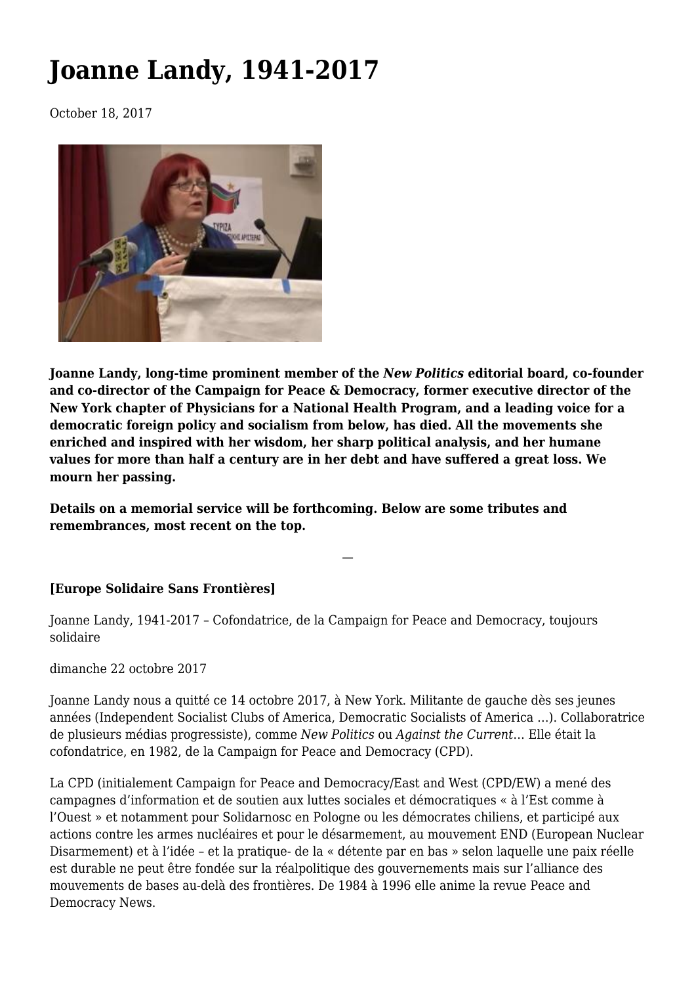# **[Joanne Landy, 1941-2017](https://newpol.org/joanne-landy-19412017/)**

October 18, 2017



**Joanne Landy, long-time prominent member of the** *New Politics* **editorial board, co-founder and co-director of the Campaign for Peace & Democracy, former executive director of the New York chapter of Physicians for a National Health Program, and a leading voice for a democratic foreign policy and socialism from below, has died. All the movements she enriched and inspired with her wisdom, her sharp political analysis, and her humane values for more than half a century are in her debt and have suffered a great loss. We mourn her passing.**

—

**Details on a memorial service will be forthcoming. Below are some tributes and remembrances, most recent on the top.**

# **[Europe Solidaire Sans Frontières]**

Joanne Landy, 1941-2017 – Cofondatrice, de la Campaign for Peace and Democracy, toujours solidaire

dimanche 22 octobre 2017

Joanne Landy nous a quitté ce 14 octobre 2017, à New York. Militante de gauche dès ses jeunes années (Independent Socialist Clubs of America, Democratic Socialists of America …). Collaboratrice de plusieurs médias progressiste), comme *New Politics* ou *Against the Current*… Elle était la cofondatrice, en 1982, de la Campaign for Peace and Democracy (CPD).

La CPD (initialement Campaign for Peace and Democracy/East and West (CPD/EW) a mené des campagnes d'information et de soutien aux luttes sociales et démocratiques « à l'Est comme à l'Ouest » et notamment pour Solidarnosc en Pologne ou les démocrates chiliens, et participé aux actions contre les armes nucléaires et pour le désarmement, au mouvement END (European Nuclear Disarmement) et à l'idée – et la pratique- de la « détente par en bas » selon laquelle une paix réelle est durable ne peut être fondée sur la réalpolitique des gouvernements mais sur l'alliance des mouvements de bases au-delà des frontières. De 1984 à 1996 elle anime la revue Peace and Democracy News.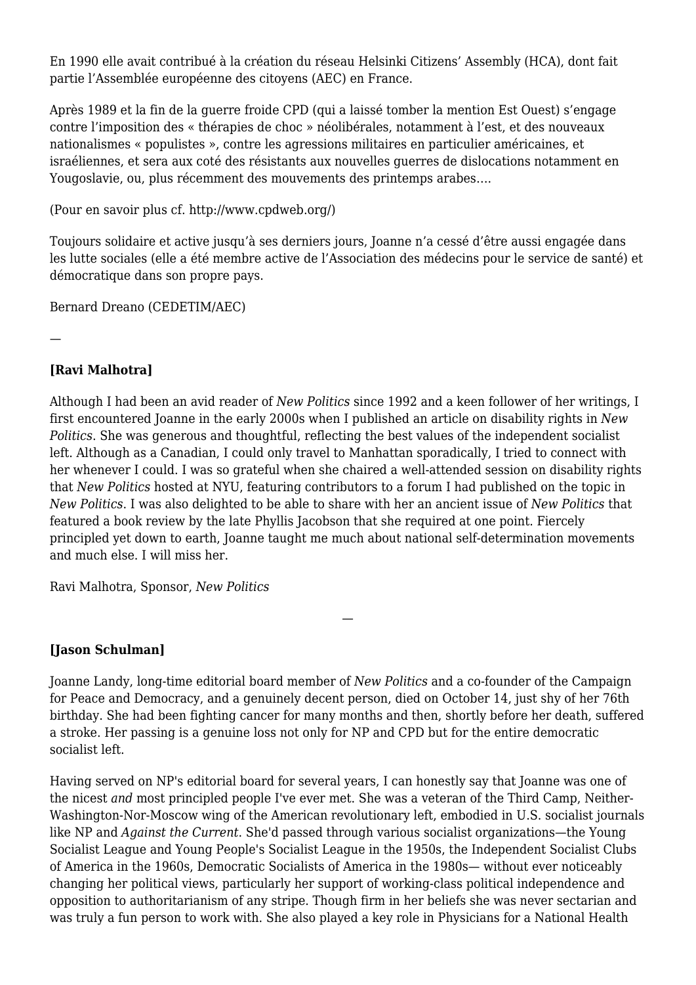En 1990 elle avait contribué à la création du réseau Helsinki Citizens' Assembly (HCA), dont fait partie l'Assemblée européenne des citoyens (AEC) en France.

Après 1989 et la fin de la guerre froide CPD (qui a laissé tomber la mention Est Ouest) s'engage contre l'imposition des « thérapies de choc » néolibérales, notamment à l'est, et des nouveaux nationalismes « populistes », contre les agressions militaires en particulier américaines, et israéliennes, et sera aux coté des résistants aux nouvelles guerres de dislocations notamment en Yougoslavie, ou, plus récemment des mouvements des printemps arabes….

(Pour en savoir plus cf. <http://www.cpdweb.org/>)

Toujours solidaire et active jusqu'à ses derniers jours, Joanne n'a cessé d'être aussi engagée dans les lutte sociales (elle a été membre active de l'Association des médecins pour le service de santé) et démocratique dans son propre pays.

Bernard Dreano (CEDETIM/AEC)

—

# **[Ravi Malhotra]**

Although I had been an avid reader of *New Politics* since 1992 and a keen follower of her writings, I first encountered Joanne in the early 2000s when I published an article on disability rights in *New Politics*. She was generous and thoughtful, reflecting the best values of the independent socialist left. Although as a Canadian, I could only travel to Manhattan sporadically, I tried to connect with her whenever I could. I was so grateful when she chaired a well-attended session on disability rights that *New Politics* hosted at NYU, featuring contributors to a forum I had published on the topic in *New Politics*. I was also delighted to be able to share with her an ancient issue of *New Politics* that featured a book review by the late Phyllis Jacobson that she required at one point. Fiercely principled yet down to earth, Joanne taught me much about national self-determination movements and much else. I will miss her.

Ravi Malhotra, Sponsor, *New Politics*

# **[Jason Schulman]**

Joanne Landy, long-time editorial board member of *New Politics* and a co-founder of the [Campaign](http://cpdweb.org/) [for Peace and Democracy](http://cpdweb.org/), and a genuinely decent person, died on October 14, just shy of her 76th birthday. She had been fighting cancer for many months and then, shortly before her death, suffered a stroke. Her passing is a genuine loss not only for NP and CPD but for the entire democratic socialist left.

—

Having served on NP's editorial board for several years, I can honestly say that Joanne was one of the nicest *and* most principled people I've ever met. She was a veteran of the Third Camp, Neither-Washington-Nor-Moscow wing of the American revolutionary left, embodied in U.S. socialist journals like NP and *Against the Current*. She'd passed through various socialist organizations—the Young Socialist League and Young People's Socialist League in the 1950s, the Independent Socialist Clubs of America in the 1960s, Democratic Socialists of America in the 1980s— without ever noticeably changing her political views, particularly her support of working-class political independence and opposition to authoritarianism of any stripe. Though firm in her beliefs she was never sectarian and was truly a fun person to work with. She also played a key role in [Physicians for a National Health](http://www.pnhp.org/)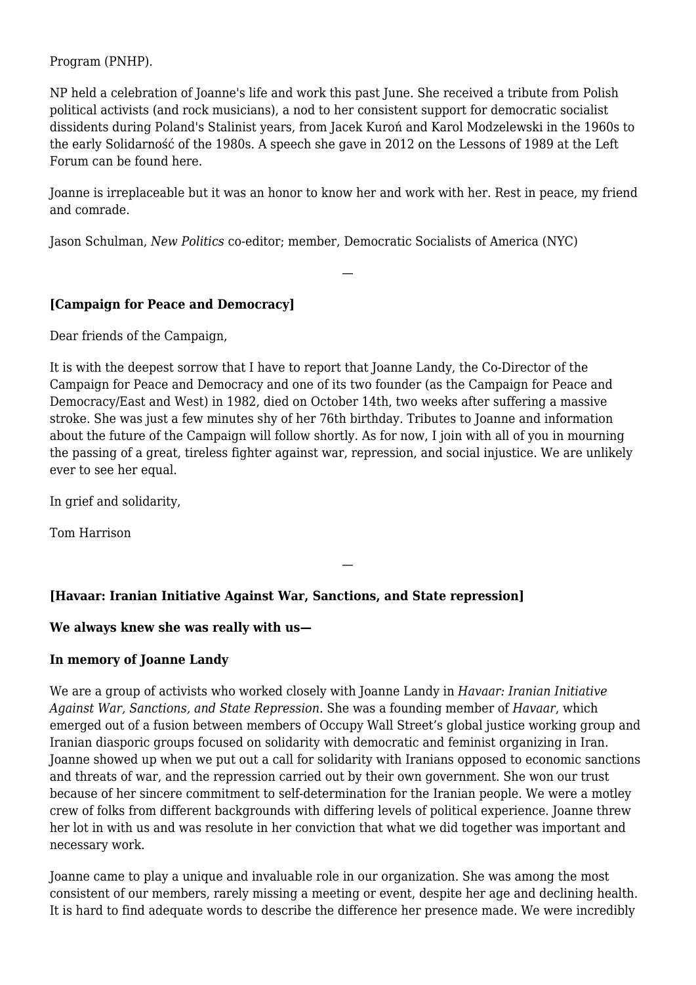[Program \(PNHP\).](http://www.pnhp.org/)

NP held a celebration of Joanne's life and work this past June. She received [a tribute from Polish](https://www.youtube.com/watch?v=yXxJsPnB3tw) [political activists \(and rock musicians\),](https://www.youtube.com/watch?v=yXxJsPnB3tw) a nod to her consistent support for democratic socialist dissidents during Poland's Stalinist years, from Jacek Kuroń and Karol Modzelewski in the 1960s to the early Solidarność of the 1980s. A speech she gave in 2012 on the Lessons of 1989 at the [Left](http://www.leftforum.org/) [Forum](http://www.leftforum.org/) can be found [here.](https://www.youtube.com/watch?v=dtZcU5ebITA)

Joanne is irreplaceable but it was an honor to know her and work with her. Rest in peace, my friend and comrade.

—

Jason Schulman, *New Politics* co-editor; member, Democratic Socialists of America (NYC)

#### **[Campaign for Peace and Democracy]**

Dear friends of the Campaign,

It is with the deepest sorrow that I have to report that Joanne Landy, the Co-Director of the Campaign for Peace and Democracy and one of its two founder (as the Campaign for Peace and Democracy/East and West) in 1982, died on October 14th, two weeks after suffering a massive stroke. She was just a few minutes shy of her 76th birthday. Tributes to Joanne and information about the future of the Campaign will follow shortly. As for now, I join with all of you in mourning the passing of a great, tireless fighter against war, repression, and social injustice. We are unlikely ever to see her equal.

—

In grief and solidarity,

Tom Harrison

# **[Havaar: Iranian Initiative Against War, Sanctions, and State repression]**

#### **We always knew she was really with us—**

#### **In memory of Joanne Landy**

We are a group of activists who worked closely with Joanne Landy in *[Havaar: Iranian Initiative](http://havaar.org/about/) [Against War, Sanctions, and State Repression](http://havaar.org/about/)*. She was a founding member of *Havaar*, which emerged out of a fusion between members of Occupy Wall Street's global justice working group and Iranian diasporic groups focused on solidarity with democratic and feminist organizing in Iran. Joanne showed up when we put out a call for solidarity with Iranians opposed to economic sanctions and threats of war, and the repression carried out by their own government. She won our trust because of her sincere commitment to self-determination for the Iranian people. We were a motley crew of folks from different backgrounds with differing levels of political experience. Joanne threw her lot in with us and was resolute in her conviction that what we did together was important and necessary work.

Joanne came to play a unique and invaluable role in our organization. She was among the most consistent of our members, rarely missing a meeting or event, despite her age and declining health. It is hard to find adequate words to describe the difference her presence made. We were incredibly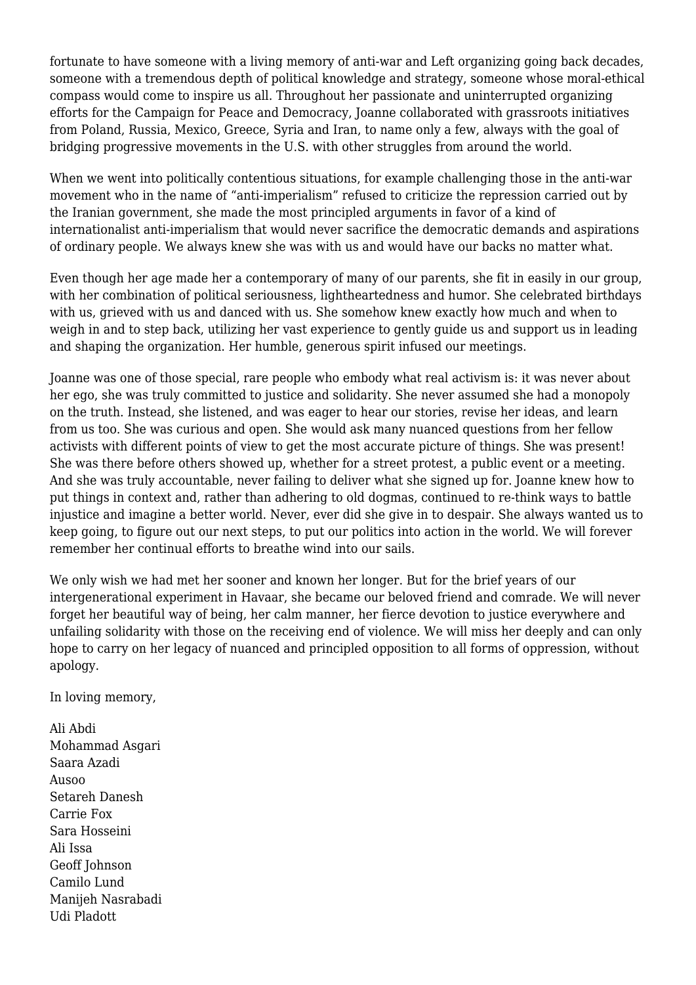fortunate to have someone with a living memory of anti-war and Left organizing going back decades, someone with a tremendous depth of political knowledge and strategy, someone whose moral-ethical compass would come to inspire us all. Throughout her passionate and uninterrupted organizing efforts for the Campaign for Peace and Democracy, Joanne collaborated with grassroots initiatives from Poland, Russia, Mexico, Greece, Syria and Iran, to name only a few, always with the goal of bridging progressive movements in the U.S. with other struggles from around the world.

When we went into politically contentious situations, for example challenging those in the anti-war movement who in the name of "anti-imperialism" refused to criticize the repression carried out by the Iranian government, she made the most principled arguments in favor of a kind of internationalist anti-imperialism that would never sacrifice the democratic demands and aspirations of ordinary people. We always knew she was with us and would have our backs no matter what.

Even though her age made her a contemporary of many of our parents, she fit in easily in our group, with her combination of political seriousness, lightheartedness and humor. She celebrated birthdays with us, grieved with us and danced with us. She somehow knew exactly how much and when to weigh in and to step back, utilizing her vast experience to gently guide us and support us in leading and shaping the organization. Her humble, generous spirit infused our meetings.

Joanne was one of those special, rare people who embody what real activism is: it was never about her ego, she was truly committed to justice and solidarity. She never assumed she had a monopoly on the truth. Instead, she listened, and was eager to hear our stories, revise her ideas, and learn from us too. She was curious and open. She would ask many nuanced questions from her fellow activists with different points of view to get the most accurate picture of things. She was present! She was there before others showed up, whether for a street protest, a public event or a meeting. And she was truly accountable, never failing to deliver what she signed up for. Joanne knew how to put things in context and, rather than adhering to old dogmas, continued to re-think ways to battle injustice and imagine a better world. Never, ever did she give in to despair. She always wanted us to keep going, to figure out our next steps, to put our politics into action in the world. We will forever remember her continual efforts to breathe wind into our sails.

We only wish we had met her sooner and known her longer. But for the brief years of our intergenerational experiment in Havaar, she became our beloved friend and comrade. We will never forget her beautiful way of being, her calm manner, her fierce devotion to justice everywhere and unfailing solidarity with those on the receiving end of violence. We will miss her deeply and can only hope to carry on her legacy of nuanced and principled opposition to all forms of oppression, without apology.

In loving memory,

Ali Abdi Mohammad Asgari Saara Azadi Ausoo Setareh Danesh Carrie Fox Sara Hosseini Ali Issa Geoff Johnson Camilo Lund Manijeh Nasrabadi Udi Pladott